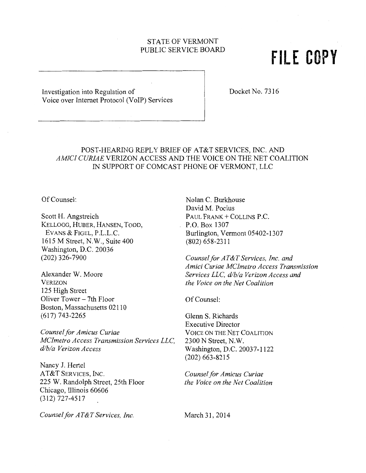## STATE OF VERMONT PUBLIC SERVICE BOARD

# **FILE COPY**

Investigation into Regulation of Docket No. 7316 Voice over Internet Protocol (VoIP) Services

## POST-HEARING REPLY BRIEF OF AT&T SERVICES, INC. AND *AMICI CURIAE* VERIZON ACCESS AND THE VOICE ON THE NET COALITION IN SUPPORT OF COMCAST PHONE OF VERMONT, LLC

Of Counsel:

Scott H. Angstreich KELLOGG, HUBER, HANSEN, TODD, EVANS & FIGEL, P.L.L.C. 1615 M Street, N.W., Suite 400 Washington, D.C. 20036 (202) 326-7900

Alexander W. Moore VERIZON 125 High Street Oliver Tower - 7th Floor Boston, Massachusetts 02110 (617) 743-2265

*Counsel for Amicus Curiae MC/metro Access Transmission Services LLC, dlbla Verizon Access* 

Nancy J. Hertel AT&T SERVICES, INC. 225 W. Randolph Street, 25th Floor Chicago, Illinois 60606 (312) 727-4517

*Counsel for AT&T Services, Inc.* 

Nolan C. Burkhouse David M. Pocius PAUL FRANK + COLLINS P.C. P.O. Box 1307 Burlington, Vermont 05402-1307 (802) 658-2311

*Counsel for AT&T Services, Inc. and Amici Curiae MC/metro Access Transmission Services LLC, dlbla Verizon Access and the Voice on the Net Coalition* 

Of Counsel:

Glenn S. Richards Executive Director VOICE ON THE NET COALITION 2300 N Street, N.W. Washington, D.C. 20037-1122 (202) 663-8215

*Counsel for Amicus Curiae the Voice on the Net Coalition* 

March 31, 2014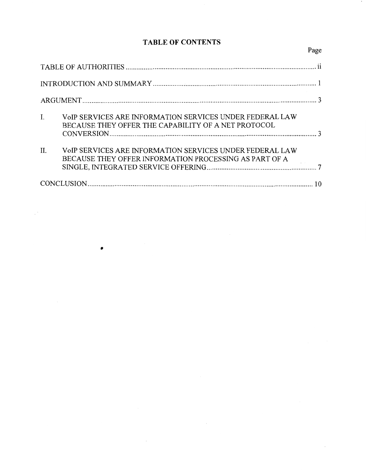# **TABLE OF CONTENTS**

| I.  | VOIP SERVICES ARE INFORMATION SERVICES UNDER FEDERAL LAW<br>BECAUSE THEY OFFER THE CAPABILITY OF A NET PROTOCOL    |  |  |  |
|-----|--------------------------------------------------------------------------------------------------------------------|--|--|--|
| II. | VOIP SERVICES ARE INFORMATION SERVICES UNDER FEDERAL LAW<br>BECAUSE THEY OFFER INFORMATION PROCESSING AS PART OF A |  |  |  |
|     |                                                                                                                    |  |  |  |

•

 $\mathbb{R}^3$ 

# Page

 $\cdot$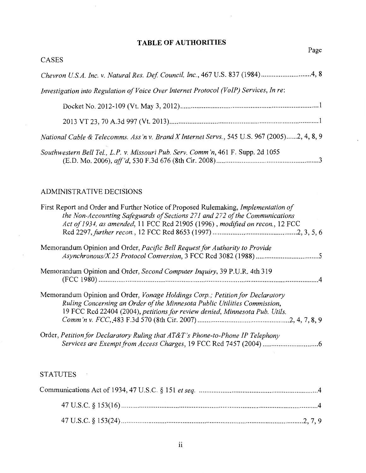## **TABLE OF AUTHORITIES**

 $\hat{\mathcal{A}}$ 

 $\overline{\phantom{a}}$ 

 $\ddot{\phantom{0}}$ 

| CASES                                                                                                                                                                                                                                              |
|----------------------------------------------------------------------------------------------------------------------------------------------------------------------------------------------------------------------------------------------------|
| Chevron U.S.A. Inc. v. Natural Res. Def. Council, Inc., 467 U.S. 837 (1984)4, 8                                                                                                                                                                    |
| Investigation into Regulation of Voice Over Internet Protocol (VoIP) Services, In re:                                                                                                                                                              |
|                                                                                                                                                                                                                                                    |
|                                                                                                                                                                                                                                                    |
| National Cable & Telecomms. Ass'n v. Brand X Internet Servs., 545 U.S. 967 (2005)2, 4, 8, 9                                                                                                                                                        |
| Southwestern Bell Tel., L.P. v. Missouri Pub. Serv. Comm'n, 461 F. Supp. 2d 1055                                                                                                                                                                   |
| ADMINISTRATIVE DECISIONS                                                                                                                                                                                                                           |
| First Report and Order and Further Notice of Proposed Rulemaking, Implementation of<br>the Non-Accounting Safeguards of Sections 271 and 272 of the Communications<br>Act of 1934, as amended, 11 FCC Rcd 21905 (1996), modified on recon., 12 FCC |
|                                                                                                                                                                                                                                                    |
| Memorandum Opinion and Order, Pacific Bell Request for Authority to Provide                                                                                                                                                                        |
| Memorandum Opinion and Order, Second Computer Inquiry, 39 P.U.R. 4th 319                                                                                                                                                                           |
| Memorandum Opinion and Order, Vonage Holdings Corp.; Petition for Declaratory<br>Ruling Concerning an Order of the Minnesota Public Utilities Commission,<br>19 FCC Rcd 22404 (2004), petitions for review denied, Minnesota Pub. Utils.           |

## **STATUTES**

 $\ddot{\phantom{a}}$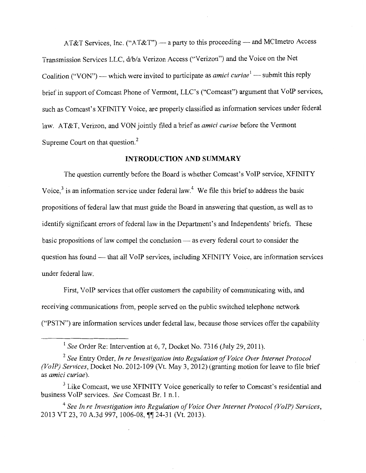AT&T Services, Inc. ("AT&T") — a party to this proceeding — and MCImetro Access Transmission Services LLC, d/b/a Verizon Access ("Verizon") and the Voice on the Net Coalition ("VON") — which were invited to participate as *amici curiae*<sup>1</sup> — submit this reply brief in support of Comcast Phone of Vermont, LLC's ("Comcast") argument that VoIP services, such as Comcast's XFINITY Voice, are properly classified as information services under federal law. AT&T, Verizon, and VON jointly filed a brief as *amici curiae* before the Vermont Supreme Court on that question.<sup>2</sup>

#### **INTRODUCTION AND SUMMARY**

The question currently before the Board is whether Comcast's VoIP service, XFINITY Voice, $3$  is an information service under federal law.<sup>4</sup> We file this brief to address the basic propositions of federal law that must guide the Board in answering that question, as well as to identify significant errors of federal law in the Department's and Independents' briefs. These basic propositions of law compel the conclusion - as every federal court to consider the question has found - that all VoIP services, including XFINITY Voice, are information services under federal law.

First, VoIP services that offer customers the capability of communicating with, and receiving communications from, people served on the public switched telephone network ("PSTN") are information services under federal law, because those services offer the capability

<sup>1</sup>*See* Order Re: Intervention at 6, 7, Docket No. 7316 (July 29, 2011).

<sup>2</sup>*See* Entry Order, *In re Investigation into Regulation of Voice Over Internet Protocol (VoIP) Services,* Docket No. 2012-109 (Vt. May 3, 2012) (granting motion for leave to file brief as *amici curiae).* 

 $3$  Like Comcast, we use XFINITY Voice generically to refer to Comcast's residential and business VoIP services. *See* Comcast Br. 1 n.1.

<sup>4</sup>*See In re Investigation into Regulation of Voice Over Internet Protocol (VoIP) Services,*  2013 VT 23, 70 A.3d 997, 1006-08, ¶¶ 24-31 (Vt. 2013).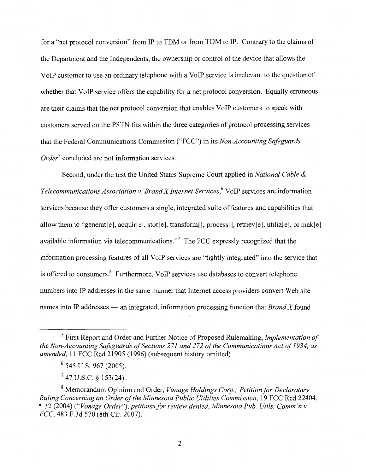for a "net protocol conversion" from IP to TDM or from TDM to IP. Contrary to the claims of the Department and the Independents, the ownership or control of the device that allows the VoIP customer to use an ordinary telephone with a VoIP service is irrelevant to the question of whether that VoIP service offers the capability for a net protocol conversion. Equally erroneous are their claims that the net protocol conversion that enables VoIP customers to speak with customers served on the PSTN fits within the three categories of protocol processing services that the Federal Communications Commission ("FCC") in its *Non-Accounting Safeguards Order5* concluded are not information services.

Second, under the test the United States Supreme Court applied in *National Cable* & *Telecommunications Association v. Brand X Internet Services*, <sup>6</sup>VoIP services are information services because they offer customers a single, integrated suite of features and capabilities that allow them to "generat[e], acquir[e], stor[e], transform[], process[], retriev[e], utiliz[e], or mak[e] available information via telecommunications."7 The FCC expressly recognized that the information processing features of all VoIP services are "tightly integrated" into the service that is offered to consumers. 8 Furthermore, VoIP services use databases to convert telephone numbers into IP addresses in the same manner that Internet access providers convert Web site names into IP addresses — an integrated, information processing function that *Brand X* found

7 47 U.S.C. *§* I53(24).

<sup>5</sup> First Report and Order and Further Notice of Proposed Rulemaking, *Implementation of the Non-Accounting Safeguards of Sections 271 and 272 of the Communications Act of 1934, as amended*, 11 FCC Rcd 21905 (1996) (subsequent history omitted).

<sup>6 545</sup> U.S. 967 (2005).

<sup>8</sup> Memorandum Opinion and Order, *Vonage Holdings Corp.; Petition/or Declaratory Ruling Concerning an Order of the Minnesota Public Utilities Commission, 19 FCC Rcd 22404,* if 32 (2004) *("Vonage Order"), petitions for review denied, Minnesota Pub. Utils. Comm 'n v. FCC,* 483 F.3d 570 (8th Cir. 2007).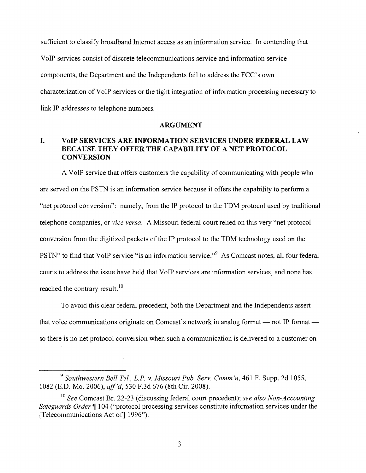sufficient to classify broadband Internet access as an information service. In contending that VoIP services consist of discrete telecommunications service and information service components, the Department and the Independents fail to address the FCC's own characterization of VoIP services or the tight integration of information processing necessary to link IP addresses to telephone numbers.

#### **ARGUMENT**

## **I. VoIP SERVICES ARE INFORMATION SERVICES UNDER FEDERAL LAW BECAUSE THEY OFFER THE CAPABILITY OF A NET PROTOCOL CONVERSION**

A VoIP service that offers customers the capability of communicating with people who are served on the PSTN is an information service because it offers the capability to perform a "net protocol conversion": namely, from the IP protocol to the TDM protocol used by traditional telephone companies, or *vice versa.* A Missouri federal court relied on this very "net protocol conversion from the digitized packets of the IP protocol to the TDM technology used on the PSTN" to find that VoIP service "is an information service."<sup>9</sup> As Comcast notes, all four federal courts to address the issue have held that VoIP services are information services, and none has reached the contrary result.<sup>10</sup>

To avoid this clear federal precedent, both the Department and the Independents assert that voice communications originate on Comcast's network in analog format — not IP format so there is no net protocol conversion when such a communication is delivered to a customer on

<sup>9</sup>*Southwestern Bell Tel., L.P. v. Missouri Pub. Serv. Comm 'n,* 461 F. Supp. 2d 1055, 1082 (E.D. Mo. 2006), *ajf'd,* 530 F.3d 676 (8th Cir. 2008).

<sup>10</sup>*See* Comcast Br. 22-23 (discussing federal court precedent); *see also Non-Accounting Safeguards Order* 104 ("protocol processing services constitute information services under the [Telecommunications Act of] 1996").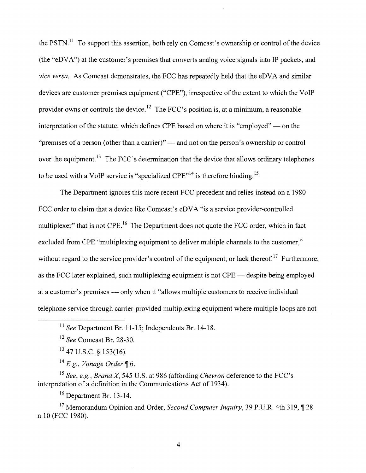the PSTN.<sup>11</sup> To support this assertion, both rely on Comcast's ownership or control of the device (the "eDVA") at the customer's premises that converts analog voice signals into IP packets, and *vice versa.* As Comcast demonstrates, the FCC has repeatedly held that the eDVA and similar devices are customer premises equipment ("CPE"), irrespective of the extent to which the VoIP provider owns or controls the device.<sup>12</sup> The FCC's position is, at a minimum, a reasonable interpretation of the statute, which defines CPE based on where it is "employed" — on the "premises of a person (other than a carrier)" — and not on the person's ownership or control over the equipment.<sup>13</sup> The FCC's determination that the device that allows ordinary telephones to be used with a VoIP service is "specialized  $CPE$ <sup> $,14$ </sup> is therefore binding.<sup>15</sup>

The Department ignores this more recent FCC precedent and relies instead on a 1980 FCC order to claim that a device like Comcast's eDVA "is a service provider-controlled multiplexer" that is not CPE.<sup>16</sup> The Department does not quote the FCC order, which in fact excluded from CPE "multiplexing equipment to deliver multiple channels to the customer," without regard to the service provider's control of the equipment, or lack thereof.<sup>17</sup> Furthermore, as the FCC later explained, such multiplexing equipment is not CPE — despite being employed at a customer's premises — only when it "allows multiple customers to receive individual telephone service through carrier-provided multiplexing equipment where multiple loops are not

<sup>15</sup>*See, e.g., Brand X,* 545 U.S. at 986 (affording *Chevron* deference to the FCC's interpretation of a definition in the Communications Act of 1934).

 $16$  Department Br. 13-14.

<sup>17</sup> Memorandum Opinion and Order, *Second Computer Inquiry*, 39 P.U.R. 4th 319, ¶ 28 n.10 (FCC 1980).

4

<sup>11</sup>*See* Department Br. 11-15; Independents Br. 14-18.

<sup>12</sup>*See* Comcast Br. 28-30.

 $13$  47 U.S.C. § 153(16).

 $14 E.g., Vonage Order~ \S$ 6.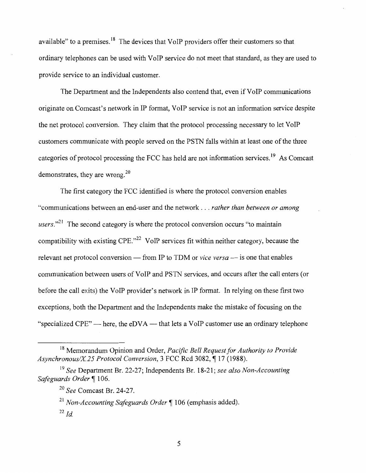available" to a premises.<sup>18</sup> The devices that VoIP providers offer their customers so that ordinary telephones can be used with VoIP service do not meet that standard, as they are used to provide service to an individual customer.

The Department and the Independents also contend that, even if VoIP communications originate on Comcast's network in IP format, VoIP service is not an information service despite the net protocol conversion. They claim that the protocol processing necessary to let VoIP customers communicate with people served on the PSTN falls within at least one of the three categories of protocol processing the FCC has held are not information services.<sup>19</sup> As Comcast demonstrates, they are wrong.<sup>20</sup>

The first category the FCC identified is where the protocol conversion enables "communications between an end-user and the network ... *rather than between or among*  users."<sup>21</sup> The second category is where the protocol conversion occurs "to maintain compatibility with existing CPE."<sup>22</sup> VoIP services fit within neither category, because the relevant net protocol conversion — from IP to TDM or *vice versa* — is one that enables communication between users of VoIP and PSTN services, and occurs after the call enters (or before the call exits) the VoIP provider's network in IP format. In relying on these first two exceptions, both the Department and the Independents make the mistake of focusing on the "specialized CPE" - here, the eDVA - that lets a VoIP customer use an ordinary telephone

<sup>18</sup> Memorandum Opinion and Order, *Pacific Bell Request for Authority to Provide*  Asynchronous/X.25 Protocol Conversion, 3 FCC Rcd 3082, ¶17 (1988).

<sup>19</sup>*See* Department Br. 22-27; Independents Br. 18-21; *see also Non-Accounting*  Safeguards Order<sup>¶</sup> 106.

<sup>20</sup>*See* Comcast Br. 24-27.

<sup>&</sup>lt;sup>21</sup> Non-Accounting Safeguards Order ¶ 106 (emphasis added).

 $^{22}$  *Id.*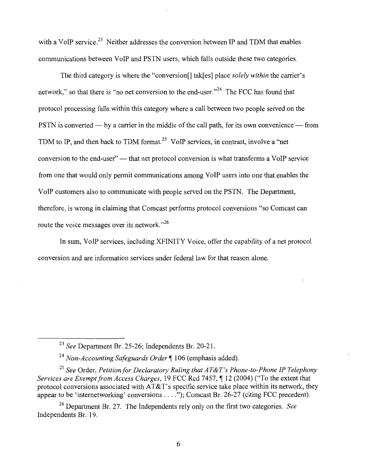with a VoIP service.<sup>23</sup> Neither addresses the conversion between IP and TDM that enables communications between VoIP and PSTN users, which falls outside these two categories.

The third category is where the "conversion[] tak[es] place *solely within* the carrier's network," so that there is "no net conversion to the end-user."<sup>24</sup> The FCC has found that protocol processing falls within this category where a call between two people served on the PSTN is converted  $-$  by a carrier in the middle of the call path, for its own convenience  $-$  from TDM to IP, and then back to TDM format.<sup>25</sup> VoIP services, in contrast, involve a "net conversion to the end-user" — that net protocol conversion is what transforms a VoIP service from one that would only permit communications among VoIP users into one that enables the VoIP customers also to communicate with people served on the PSTN. The Department, therefore, is wrong in claiming that Comcast performs protocol conversions "so Comcast can route the voice messages over its network."<sup>26</sup>

In sum, VoIP services, including XFINITY Voice, offer the capability of a net protocol conversion and are information services under federal law for that reason alone.

<sup>25</sup>*See* Order, *Petition for Declaratory Ruling that AT&T's Phone-to-Phone IP Telephony Services are Exempt from Access Charges, 19 FCC Rcd 7457, 12 (2004) ("To the extent that* protocol conversions associated with  $AT&T$ 's specific service take place within its network, they appear to be 'internetworking' conversions  $\dots$  ."); Comcast Br. 26-27 (citing FCC precedent).

26 Department Br. 27. The Independents rely only on the first two categories. *See*  Independents Br. 19.

<sup>23</sup>*See* Department Br. 25-26; Independents Br. 20-21.

<sup>&</sup>lt;sup>24</sup> Non-Accounting Safeguards Order ¶ 106 (emphasis added).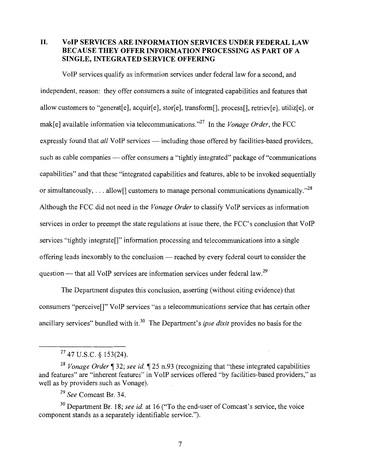**II. VoIP SERVICES ARE INFORMATION SERVICES UNDER FEDERAL LAW BECAUSE THEY OFFER INFORMATION PROCESSING AS PART OF A SINGLE, INTEGRATED SERVICE OFFERING** 

VoIP services qualify as information services under federal law for a second, and independent, reason: they offer consumers a suite of integrated capabilities and features that allow customers to "generat[e], acquir[e], stor[e], transform[], process[], retriev[e], utiliz[e], or mak[e] available information via telecommunications."27 In the *Vonage Order,* the FCC expressly found that *all* VoIP services — including those offered by facilities-based providers, such as cable companies — offer consumers a "tightly integrated" package of "communications" capabilities" and that these "integrated capabilities and features, able to be invoked sequentially or simultaneously, ... allow<sup>[]</sup> customers to manage personal communications dynamically.<sup>"28</sup> Although the FCC did not need in the *Vonage Order* to classify VoIP services as information services in order to preempt the state regulations at issue there, the FCC's conclusion that VoIP services "tightly integrate[]" information processing and telecommunications into a single offering leads inexorably to the conclusion — reached by every federal court to consider the question - that all VoIP services are information services under federal law.<sup>29</sup>

The Department disputes this conclusion, asserting (without citing evidence) that consumers "perceive[]" VoIP services "as a telecommunications service that has certain other ancillary services" bundled with it.<sup>30</sup> The Department's *ipse dixit* provides no basis for the

30 Department Br. 18; *see id.* at 16 ("To the end-user of Comcast's service, the voice component stands as a separately identifiable service.").

7

<sup>27 47</sup> U.S.C. § 153(24).

<sup>&</sup>lt;sup>28</sup> Vonage Order <sup>1</sup> 32; *see id.* 1 25 n.93 (recognizing that "these integrated capabilities and features" are "inherent features" in VoIP services offered "by facilities-based providers," as well as by providers such as Vonage).

<sup>29</sup>*See* Comcast Br. 34.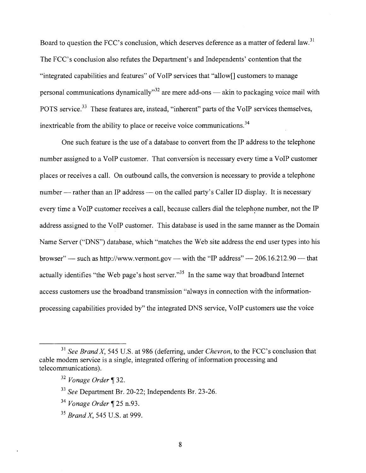Board to question the FCC's conclusion, which deserves deference as a matter of federal law.<sup>31</sup> The FCC's conclusion also refutes the Department's and Independents' contention that the "integrated capabilities and features" of VoIP services that "allow[] customers to manage personal communications dynamically"<sup>32</sup> are mere add-ons — akin to packaging voice mail with POTS service.<sup>33</sup> These features are, instead, "inherent" parts of the VoIP services themselves, inextricable from the ability to place or receive voice communications.<sup>34</sup>

One such feature is the use of a database to convert from the IP address to the telephone number assigned to a VoIP customer. That conversion is necessary every time a VoIP customer places or receives a call. On outbound calls, the conversion is necessary to provide a telephone number - rather than an IP address - on the called party's Caller ID display. It is necessary every time a VoIP customer receives a call, because callers dial the telephone number, not the IP address assigned to the VoIP customer. This database is used in the same manner as the Domain Name Server ("DNS") database, which "matches the Web site address the end user types into his browser"  $-$  such as http://www.vermont.gov  $-$  with the "IP address"  $-$  206.16.212.90  $-$  that actually identifies "the Web page's host server."<sup>35</sup> In the same way that broadband Internet access customers use the broadband transmission "always in connection with the informationprocessing capabilities provided by" the integrated DNS service, VoIP customers use the voice

<sup>31</sup>*See Brand X,* 545 U.S. at 986 (deferring, under *Chevron,* to the FCC's conclusion that cable modem service is a single, integrated offering of information processing and telecommunications).

<sup>&</sup>lt;sup>32</sup> Vonage Order ¶ 32.

<sup>33</sup>*See* Department Br. 20-22; Independents Br. 23-26.

<sup>&</sup>lt;sup>34</sup> Vonage Order ¶ 25 n.93.

<sup>35</sup>*Brand X,* 545 U.S. at 999.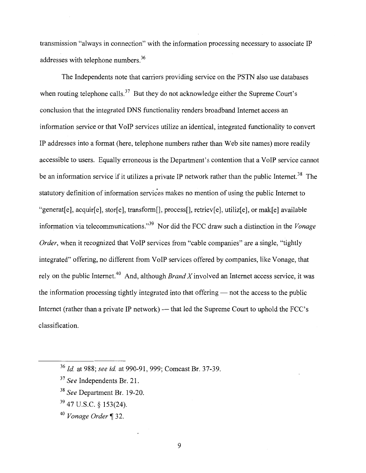transmission "always in connection" with the information processing necessary to associate IP addresses with telephone numbers.<sup>36</sup>

The Independents note that carriers providing service on the PSTN also use databases when routing telephone calls.<sup>37</sup> But they do not acknowledge either the Supreme Court's conclusion that the integrated DNS functionality renders broadband Internet access an information service or that VoIP services utilize an identical, integrated functionality to convert IP addresses into a format (here, telephone numbers rather than Web site names) more readily accessible to users. Equally erroneous is the Department's contention that a VoIP service cannot be an information service if it utilizes a private IP network rather than the public Internet.<sup>38</sup> The statutory definition of information services makes no mention of using the public Internet to "generat[e], acquir[e], stor[e], transform[], process[], retriev[e], utiliz[e], or mak[e] available information via telecommunications."39 Nor did the FCC draw such a distinction in the *Vonage Order*, when it recognized that VoIP services from "cable companies" are a single, "tightly integrated" offering, no different from VoIP services offered by companies, like Vonage, that rely on the public Intemet. 40 And, although *Brand X* involved an Internet access service, it was the information processing tightly integrated into that offering  $-$  not the access to the public Internet (rather than a private IP network) — that led the Supreme Court to uphold the FCC's classification.

- 39 47 U.S.C. § 153(24).
- <sup>40</sup> Vonage Order ¶ 32.

9

<sup>36</sup>*Id.* at 988; *see id.* at 990-91, 999; Comcast Br. 37-39.

<sup>37</sup>*See* Independents Br. 21.

<sup>38</sup>*See* Department Br. 19-20.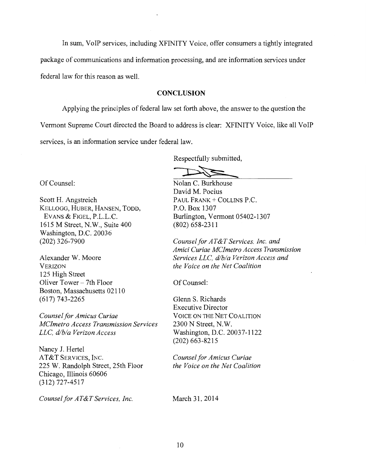In sum, VoIP services, including XFINITY Voice, offer consumers a tightly integrated package of communications and information processing, and are information services under federal law for this reason as well.

#### **CONCLUSION**

Applying the principles of federal law set forth above, the answer to the question the Vermont Supreme Court directed the Board to address is clear: XFINITY Voice, like all VoIP services, is an information service under federal law.

Respectfully submitted,

Of Counsel:

Scott H. Angstreich KELLOGG, HUBER, HANSEN, TODD, EVANS & FIGEL, P.L.L.C. 1615 M Street, N.W., Suite 400 Washington, D.C. 20036 (202) 326-7900

Alexander W. Moore VERIZON 125 High Street Oliver Tower- 7th Floor Boston, Massachusetts 02110 (617) 743-2265

*Counsel for Amicus Curiae MClmetro Access Transmission Services LLC, d/b/a Verizon Access* 

Nancy J. Hertel AT&T SERVICES, INC. 225 W. Randolph Street, 25th Floor Chicago, Illinois 60606 (312) 727-4517

*Counsel for AT&T Services, Inc.* 

Nolan C. Burkhouse David M. Pocius PAUL FRANK + COLLINS P.C. P.O. Box 1307 Burlington, Vermont 05402-1307 (802) 658-2311

*Counsel for AT&T Services, Inc. and Amici Curiae MClmetro Access Transmission Services LLC, dlb/a Verizon Access and the Voice on the Net Coalition* 

Of Counsel:

Glenn S. Richards Executive Director VOICE ON THE NET COALITION 2300 N Street, N.W. Washington, D.C. 20037-1122 (202) 663-8215

*Counsel for Amicus Curiae the Voice on the Net Coalition* 

March 31, 2014